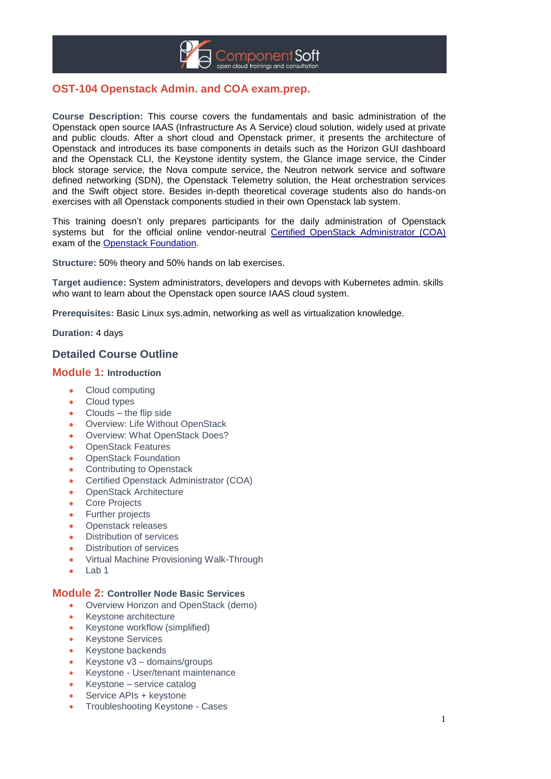

# **OST-104 Openstack Admin. and COA exam.prep.**

**Course Description:** This course covers the fundamentals and basic administration of the Openstack open source IAAS (Infrastructure As A Service) cloud solution, widely used at private and public clouds. After a short cloud and Openstack primer, it presents the architecture of Openstack and introduces its base components in details such as the Horizon GUI dashboard and the Openstack CLI, the Keystone identity system, the Glance image service, the Cinder block storage service, the Nova compute service, the Neutron network service and software defined networking (SDN), the Openstack Telemetry solution, the Heat orchestration services and the Swift object store. Besides in-depth theoretical coverage students also do hands-on exercises with all Openstack components studied in their own Openstack lab system.

This training doesn't only prepares participants for the daily administration of Openstack systems but for the official online vendor-neutral [Certified OpenStack Administrator \(COA\)](https://www.openstack.org/coa) exam of the [Openstack Foundation.](https://www.openstack.org/) 

**Structure:** 50% theory and 50% hands on lab exercises.

**Target audience:** System administrators, developers and devops with Kubernetes admin. skills who want to learn about the Openstack open source IAAS cloud system.

**Prerequisites:** Basic Linux sys.admin, networking as well as virtualization knowledge.

**Duration:** 4 days

## **Detailed Course Outline**

#### **Module 1: Introduction**

- Cloud computing
- Cloud types
- Clouds the flip side
- Overview: Life Without OpenStack
- Overview: What OpenStack Does?
- OpenStack Features
- OpenStack Foundation
- Contributing to Openstack
- Certified Openstack Administrator (COA)
- OpenStack Architecture
- Core Projects
- Further projects
- Openstack releases
- Distribution of services
- Distribution of services
- Virtual Machine Provisioning Walk-Through
- Lab 1

#### **Module 2: Controller Node Basic Services**

- Overview Horizon and OpenStack (demo)
- Keystone architecture
- Keystone workflow (simplified)
- Keystone Services
- Keystone backends
- Keystone v3 domains/groups
- Keystone User/tenant maintenance
- Keystone service catalog
- Service APIs + keystone
- Troubleshooting Keystone Cases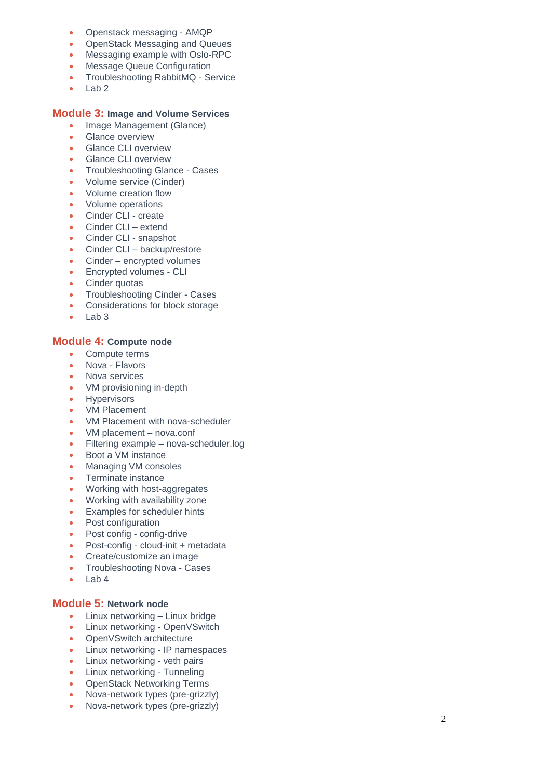- Openstack messaging AMQP
- OpenStack Messaging and Queues
- Messaging example with Oslo-RPC
- Message Queue Configuration
- Troubleshooting RabbitMQ Service
- Lab 2

### **Module 3: Image and Volume Services**

- Image Management (Glance)
- Glance overview
- Glance CLI overview
- Glance CLI overview
- Troubleshooting Glance Cases<br>• Volume service (Cinder)
- Volume service (Cinder)
- Volume creation flow
- Volume operations
- Cinder CLI create
- Cinder CLI extend
- Cinder CLI snapshot
- Cinder CLI backup/restore
- Cinder encrypted volumes
- Encrypted volumes CLI
- Cinder quotas
- Troubleshooting Cinder Cases
- Considerations for block storage
- Lab 3

### **Module 4: Compute node**

- Compute terms
- Nova Flavors
- Nova services
- VM provisioning in-depth
- Hypervisors
- VM Placement
- VM Placement with nova-scheduler
- VM placement nova.conf
- Filtering example nova-scheduler.log
- Boot a VM instance
- Managing VM consoles
- Terminate instance
- Working with host-aggregates
- Working with availability zone
- Examples for scheduler hints
- Post configuration
- Post config config-drive
- Post-config cloud-init + metadata
- Create/customize an image
- Troubleshooting Nova Cases
- $\bullet$  Lab 4

### **Module 5: Network node**

- Linux networking Linux bridge
- Linux networking OpenVSwitch
- OpenVSwitch architecture
- Linux networking IP namespaces
- Linux networking veth pairs
- Linux networking Tunneling
- OpenStack Networking Terms
- Nova-network types (pre-grizzly)
- Nova-network types (pre-grizzly)